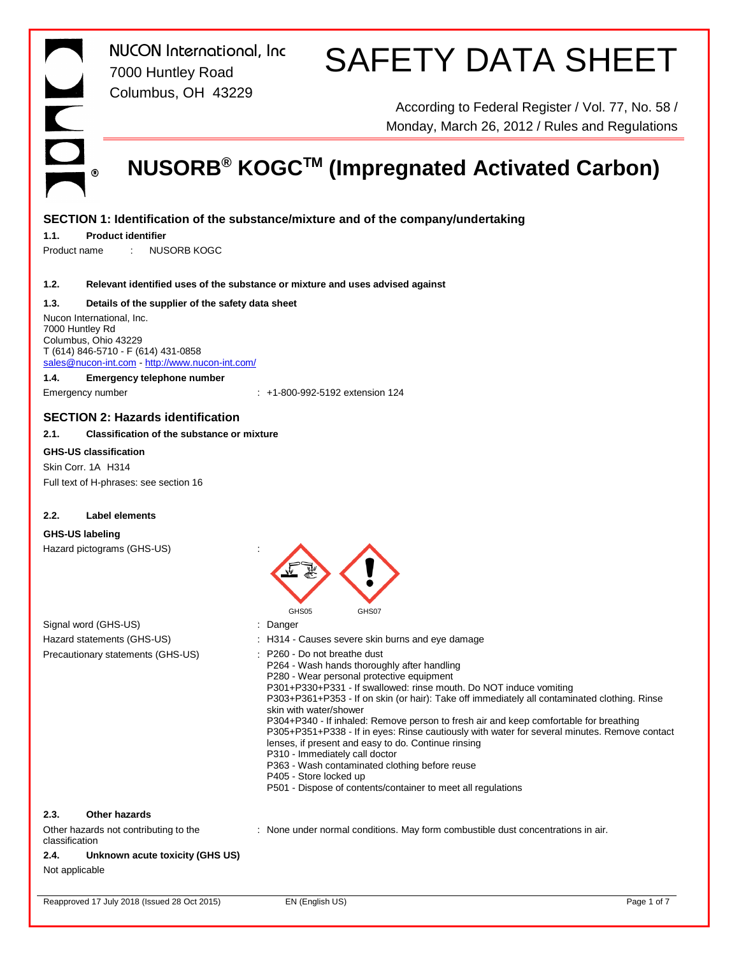# SAFETY DATA SHEET

According to Federal Register / Vol. 77, No. 58 / Monday, March 26, 2012 / Rules and Regulations

## **NUSORB® KOGCTM (Impregnated Activated Carbon)**

#### **SECTION 1: Identification of the substance/mixture and of the company/undertaking**

#### **1.1. Product identifier**

Product name : NUSORB KOGC

#### **1.2. Relevant identified uses of the substance or mixture and uses advised against**

#### **1.3. Details of the supplier of the safety data sheet** Nucon International, Inc.

7000 Huntley Rd Columbus, Ohio 43229 T (614) 846-5710 - F (614) 431-0858 sales@nucon-int.com - http://www.nucon-int.com/

**1.4. Emergency telephone number**

Emergency number : +1-800-992-5192 extension 124

#### **SECTION 2: Hazards identification**

#### **2.1. Classification of the substance or mixture**

#### **GHS-US classification**

Skin Corr. 1A H314 Full text of H-phrases: see section 16

#### **2.2. Label elements**

#### **GHS-US labeling**

Hazard pictograms (GHS-US) :

|                                                         | GHS05<br>GHS07                                                                                                                                                                                                                                                                                                                                                                                                                                                                                                                                                                                                                                                                                                                                                    |
|---------------------------------------------------------|-------------------------------------------------------------------------------------------------------------------------------------------------------------------------------------------------------------------------------------------------------------------------------------------------------------------------------------------------------------------------------------------------------------------------------------------------------------------------------------------------------------------------------------------------------------------------------------------------------------------------------------------------------------------------------------------------------------------------------------------------------------------|
| Signal word (GHS-US)                                    | Danger                                                                                                                                                                                                                                                                                                                                                                                                                                                                                                                                                                                                                                                                                                                                                            |
| Hazard statements (GHS-US)                              | : H314 - Causes severe skin burns and eye damage                                                                                                                                                                                                                                                                                                                                                                                                                                                                                                                                                                                                                                                                                                                  |
| Precautionary statements (GHS-US)                       | $\therefore$ P260 - Do not breathe dust<br>P264 - Wash hands thoroughly after handling<br>P280 - Wear personal protective equipment<br>P301+P330+P331 - If swallowed: rinse mouth. Do NOT induce vomiting<br>P303+P361+P353 - If on skin (or hair): Take off immediately all contaminated clothing. Rinse<br>skin with water/shower<br>P304+P340 - If inhaled: Remove person to fresh air and keep comfortable for breathing<br>P305+P351+P338 - If in eyes: Rinse cautiously with water for several minutes. Remove contact<br>lenses, if present and easy to do. Continue rinsing<br>P310 - Immediately call doctor<br>P363 - Wash contaminated clothing before reuse<br>P405 - Store locked up<br>P501 - Dispose of contents/container to meet all regulations |
| <b>Other hazards</b><br>2.3.                            |                                                                                                                                                                                                                                                                                                                                                                                                                                                                                                                                                                                                                                                                                                                                                                   |
| Other hazards not contributing to the<br>classification | : None under normal conditions. May form combustible dust concentrations in air.                                                                                                                                                                                                                                                                                                                                                                                                                                                                                                                                                                                                                                                                                  |
| Unknown acute toxicity (GHS US)<br>2.4.                 |                                                                                                                                                                                                                                                                                                                                                                                                                                                                                                                                                                                                                                                                                                                                                                   |
| Not applicable                                          |                                                                                                                                                                                                                                                                                                                                                                                                                                                                                                                                                                                                                                                                                                                                                                   |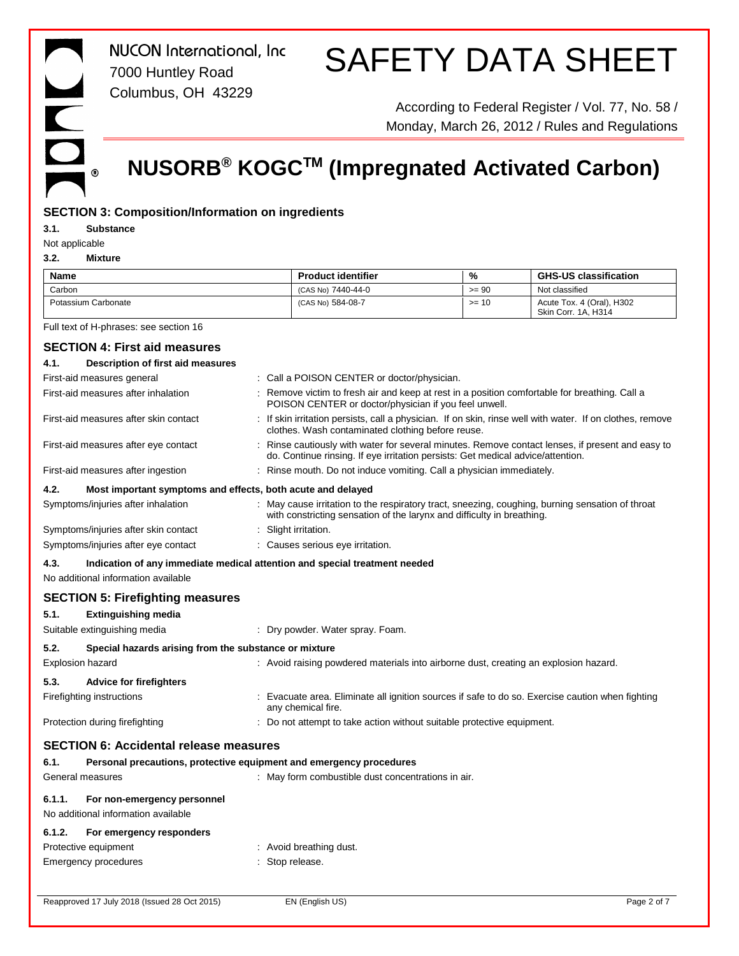# SAFETY DATA SHEET

According to Federal Register / Vol. 77, No. 58 / Monday, March 26, 2012 / Rules and Regulations

## **NUSORB® KOGCTM (Impregnated Activated Carbon)**

#### **SECTION 3: Composition/Information on ingredients**

**3.1. Substance**

Not applicable

**3.2. Mixture**

| Name                | <b>Product identifier</b> | %       | <b>GHS-US classification</b>                     |
|---------------------|---------------------------|---------|--------------------------------------------------|
| Carbon              | (CAS No) 7440-44-0        | $>= 90$ | Not classified                                   |
| Potassium Carbonate | (CAS No) 584-08-7         | $>= 10$ | Acute Tox. 4 (Oral), H302<br>Skin Corr. 1A. H314 |

Full text of H-phrases: see section 16

| <b>SECTION 4: First aid measures</b>                                         |                                                                                                                                                                                     |
|------------------------------------------------------------------------------|-------------------------------------------------------------------------------------------------------------------------------------------------------------------------------------|
| 4.1.<br>Description of first aid measures                                    |                                                                                                                                                                                     |
| First-aid measures general                                                   | : Call a POISON CENTER or doctor/physician.                                                                                                                                         |
| First-aid measures after inhalation                                          | Remove victim to fresh air and keep at rest in a position comfortable for breathing. Call a<br>POISON CENTER or doctor/physician if you feel unwell.                                |
| First-aid measures after skin contact                                        | : If skin irritation persists, call a physician. If on skin, rinse well with water. If on clothes, remove<br>clothes. Wash contaminated clothing before reuse.                      |
| First-aid measures after eye contact                                         | : Rinse cautiously with water for several minutes. Remove contact lenses, if present and easy to<br>do. Continue rinsing. If eye irritation persists: Get medical advice/attention. |
| First-aid measures after ingestion                                           | : Rinse mouth. Do not induce vomiting. Call a physician immediately.                                                                                                                |
| 4.2.<br>Most important symptoms and effects, both acute and delayed          |                                                                                                                                                                                     |
| Symptoms/injuries after inhalation                                           | : May cause irritation to the respiratory tract, sneezing, coughing, burning sensation of throat<br>with constricting sensation of the larynx and difficulty in breathing.          |
| Symptoms/injuries after skin contact                                         | Slight irritation.                                                                                                                                                                  |
| Symptoms/injuries after eye contact                                          | : Causes serious eye irritation.                                                                                                                                                    |
| 4.3.<br>No additional information available                                  | Indication of any immediate medical attention and special treatment needed                                                                                                          |
| <b>SECTION 5: Firefighting measures</b>                                      |                                                                                                                                                                                     |
| 5.1.<br><b>Extinguishing media</b>                                           |                                                                                                                                                                                     |
| Suitable extinguishing media                                                 | : Dry powder. Water spray. Foam.                                                                                                                                                    |
| 5.2.<br>Special hazards arising from the substance or mixture                |                                                                                                                                                                                     |
| <b>Explosion hazard</b>                                                      | : Avoid raising powdered materials into airborne dust, creating an explosion hazard.                                                                                                |
|                                                                              |                                                                                                                                                                                     |
| 5.3.<br><b>Advice for firefighters</b>                                       |                                                                                                                                                                                     |
| Firefighting instructions                                                    | : Evacuate area. Eliminate all ignition sources if safe to do so. Exercise caution when fighting<br>any chemical fire.                                                              |
| Protection during firefighting                                               | : Do not attempt to take action without suitable protective equipment.                                                                                                              |
| <b>SECTION 6: Accidental release measures</b>                                |                                                                                                                                                                                     |
| 6.1.<br>Personal precautions, protective equipment and emergency procedures  |                                                                                                                                                                                     |
| General measures                                                             | : May form combustible dust concentrations in air.                                                                                                                                  |
| 6.1.1.<br>For non-emergency personnel<br>No additional information available |                                                                                                                                                                                     |
| 6.1.2.<br>For emergency responders                                           |                                                                                                                                                                                     |
| Protective equipment                                                         | : Avoid breathing dust.                                                                                                                                                             |
| Emergency procedures                                                         | : Stop release.                                                                                                                                                                     |
|                                                                              |                                                                                                                                                                                     |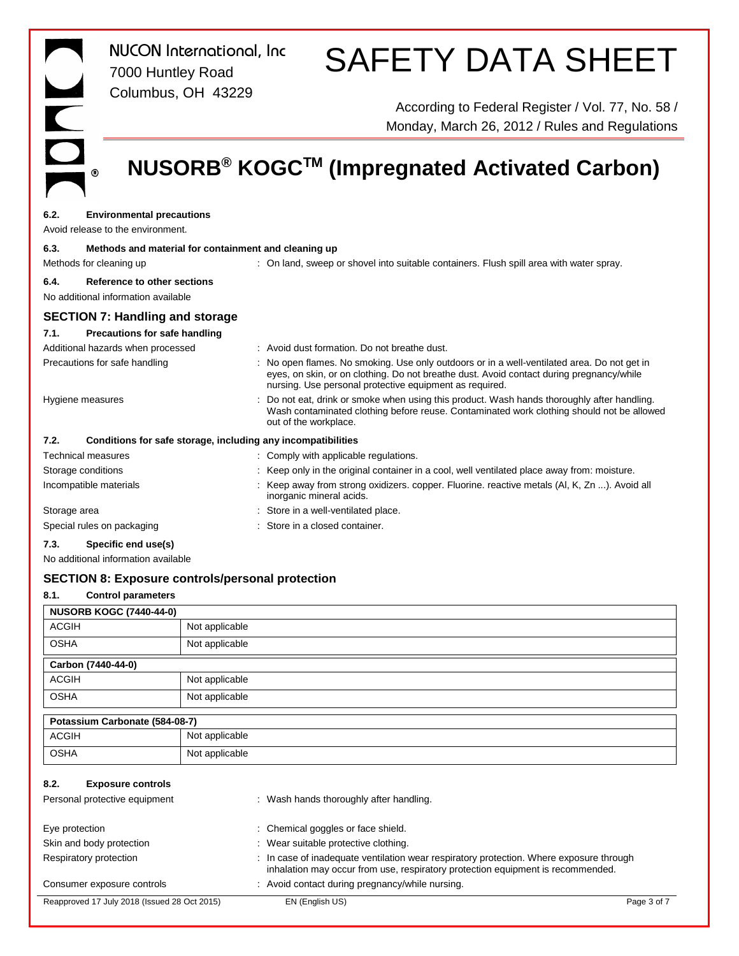| ര | <b>NUSORB® KOG</b>                      |
|---|-----------------------------------------|
|   | 7000 Huntley Road<br>Columbus, OH 43229 |
|   | NUCON International, Inc                |

SAFETY DATA SHEET

According to Federal Register / Vol. 77, No. 58 / Monday, March 26, 2012 / Rules and Regulations

## **NUSORB® KOGCTM (Impregnated Activated Carbon)**

| 6.2.         | <b>Environmental precautions</b>                             |                                                                                                                                                                                                                                                  |
|--------------|--------------------------------------------------------------|--------------------------------------------------------------------------------------------------------------------------------------------------------------------------------------------------------------------------------------------------|
|              | Avoid release to the environment.                            |                                                                                                                                                                                                                                                  |
| 6.3.         | Methods and material for containment and cleaning up         |                                                                                                                                                                                                                                                  |
|              | Methods for cleaning up                                      | : On land, sweep or shovel into suitable containers. Flush spill area with water spray.                                                                                                                                                          |
| 6.4.         | <b>Reference to other sections</b>                           |                                                                                                                                                                                                                                                  |
|              | No additional information available                          |                                                                                                                                                                                                                                                  |
|              | <b>SECTION 7: Handling and storage</b>                       |                                                                                                                                                                                                                                                  |
| 7.1.         | <b>Precautions for safe handling</b>                         |                                                                                                                                                                                                                                                  |
|              | Additional hazards when processed                            | : Avoid dust formation. Do not breathe dust.                                                                                                                                                                                                     |
|              | Precautions for safe handling                                | No open flames. No smoking. Use only outdoors or in a well-ventilated area. Do not get in<br>eyes, on skin, or on clothing. Do not breathe dust. Avoid contact during pregnancy/while<br>nursing. Use personal protective equipment as required. |
|              | Hygiene measures                                             | Do not eat, drink or smoke when using this product. Wash hands thoroughly after handling.<br>Wash contaminated clothing before reuse. Contaminated work clothing should not be allowed<br>out of the workplace.                                  |
| 7.2.         | Conditions for safe storage, including any incompatibilities |                                                                                                                                                                                                                                                  |
|              | Technical measures                                           | : Comply with applicable regulations.                                                                                                                                                                                                            |
|              | Storage conditions                                           | Keep only in the original container in a cool, well ventilated place away from: moisture.                                                                                                                                                        |
|              | Incompatible materials                                       | Keep away from strong oxidizers. copper. Fluorine. reactive metals (AI, K, Zn ). Avoid all<br>inorganic mineral acids.                                                                                                                           |
| Storage area |                                                              | Store in a well-ventilated place.                                                                                                                                                                                                                |
|              | Special rules on packaging                                   | Store in a closed container.                                                                                                                                                                                                                     |
| 7.3.         | Specific end use(s)                                          |                                                                                                                                                                                                                                                  |
|              | No additional information available                          |                                                                                                                                                                                                                                                  |

#### **SECTION 8: Exposure controls/personal protection**

#### **8.1. Control parameters**

| <b>NUSORB KOGC (7440-44-0)</b>               |                                                                                                                                                                          |  |  |
|----------------------------------------------|--------------------------------------------------------------------------------------------------------------------------------------------------------------------------|--|--|
| <b>ACGIH</b>                                 | Not applicable                                                                                                                                                           |  |  |
| <b>OSHA</b>                                  | Not applicable                                                                                                                                                           |  |  |
| Carbon (7440-44-0)                           |                                                                                                                                                                          |  |  |
| <b>ACGIH</b>                                 | Not applicable                                                                                                                                                           |  |  |
| <b>OSHA</b>                                  | Not applicable                                                                                                                                                           |  |  |
| Potassium Carbonate (584-08-7)               |                                                                                                                                                                          |  |  |
| <b>ACGIH</b>                                 | Not applicable                                                                                                                                                           |  |  |
| <b>OSHA</b>                                  | Not applicable                                                                                                                                                           |  |  |
| 8.2.<br><b>Exposure controls</b>             |                                                                                                                                                                          |  |  |
| Personal protective equipment                | : Wash hands thoroughly after handling.                                                                                                                                  |  |  |
| Eye protection                               | Chemical goggles or face shield.                                                                                                                                         |  |  |
| Skin and body protection                     | : Wear suitable protective clothing.                                                                                                                                     |  |  |
| Respiratory protection                       | In case of inadequate ventilation wear respiratory protection. Where exposure through<br>inhalation may occur from use, respiratory protection equipment is recommended. |  |  |
| Consumer exposure controls                   | : Avoid contact during pregnancy/while nursing.                                                                                                                          |  |  |
| Reapproved 17 July 2018 (Issued 28 Oct 2015) | EN (English US)<br>Page 3 of 7                                                                                                                                           |  |  |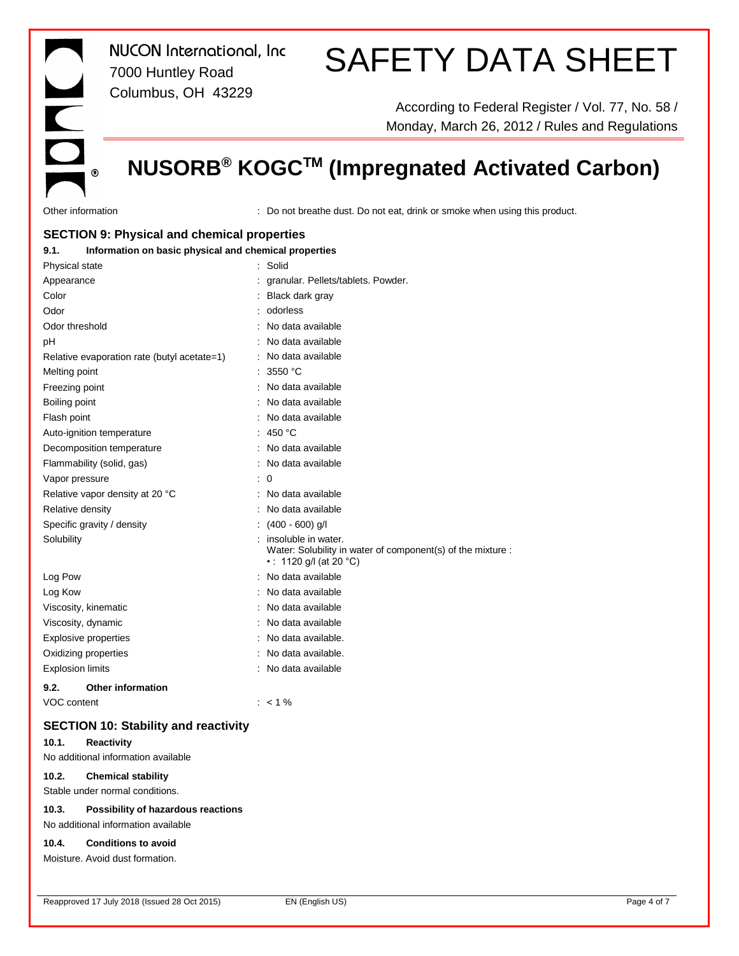$^{\circ}$ 

*NUCON International, Inc* 7000 Huntley Road Columbus, OH 43229

# SAFETY DATA SHEET

According to Federal Register / Vol. 77, No. 58 / Monday, March 26, 2012 / Rules and Regulations

## **NUSORB® KOGCTM (Impregnated Activated Carbon)**

Other information **can be a constructed in the constructed of the constructed in the constructed in the constructed in the constructed in the constructed in the constructed in the constructed in the construction of the con** 

#### **SECTION 9: Physical and chemical properties**

| Information on basic physical and chemical properties<br>9.1. |                                                                                                                |
|---------------------------------------------------------------|----------------------------------------------------------------------------------------------------------------|
| Physical state                                                | : Solid                                                                                                        |
| Appearance                                                    | granular. Pellets/tablets. Powder.                                                                             |
| Color                                                         | Black dark gray                                                                                                |
| Odor                                                          | : odorless                                                                                                     |
| Odor threshold                                                | No data available                                                                                              |
| рH                                                            | No data available                                                                                              |
| Relative evaporation rate (butyl acetate=1)                   | : No data available                                                                                            |
| Melting point                                                 | 3550 °C<br>$\ddot{\phantom{a}}$                                                                                |
| Freezing point                                                | : No data available                                                                                            |
| Boiling point                                                 | No data available                                                                                              |
| Flash point                                                   | No data available                                                                                              |
| Auto-ignition temperature                                     | : 450 °C                                                                                                       |
| Decomposition temperature                                     | No data available                                                                                              |
| Flammability (solid, gas)                                     | : No data available                                                                                            |
| Vapor pressure                                                | $\cdot$ 0                                                                                                      |
| Relative vapor density at 20 °C                               | No data available                                                                                              |
| Relative density                                              | No data available                                                                                              |
| Specific gravity / density                                    | $(400 - 600)$ g/l                                                                                              |
| Solubility                                                    | : insoluble in water.<br>Water: Solubility in water of component(s) of the mixture :<br>•: 1120 g/l (at 20 °C) |
| Log Pow                                                       | No data available                                                                                              |
| Log Kow                                                       | : No data available                                                                                            |
| Viscosity, kinematic                                          | : No data available                                                                                            |
| Viscosity, dynamic                                            | : No data available                                                                                            |
| <b>Explosive properties</b>                                   | : No data available.                                                                                           |
| Oxidizing properties                                          | No data available.                                                                                             |
| <b>Explosion limits</b>                                       | : No data available                                                                                            |
| 9.2.<br><b>Other information</b>                              |                                                                                                                |
| VOC content                                                   | $: 1\%$                                                                                                        |
|                                                               |                                                                                                                |

#### **SECTION 10: Stability and reactivity**

#### **10.1. Reactivity**

No additional information available

#### **10.2. Chemical stability**

Stable under normal conditions.

#### **10.3. Possibility of hazardous reactions**

No additional information available

#### **10.4. Conditions to avoid**

Moisture. Avoid dust formation.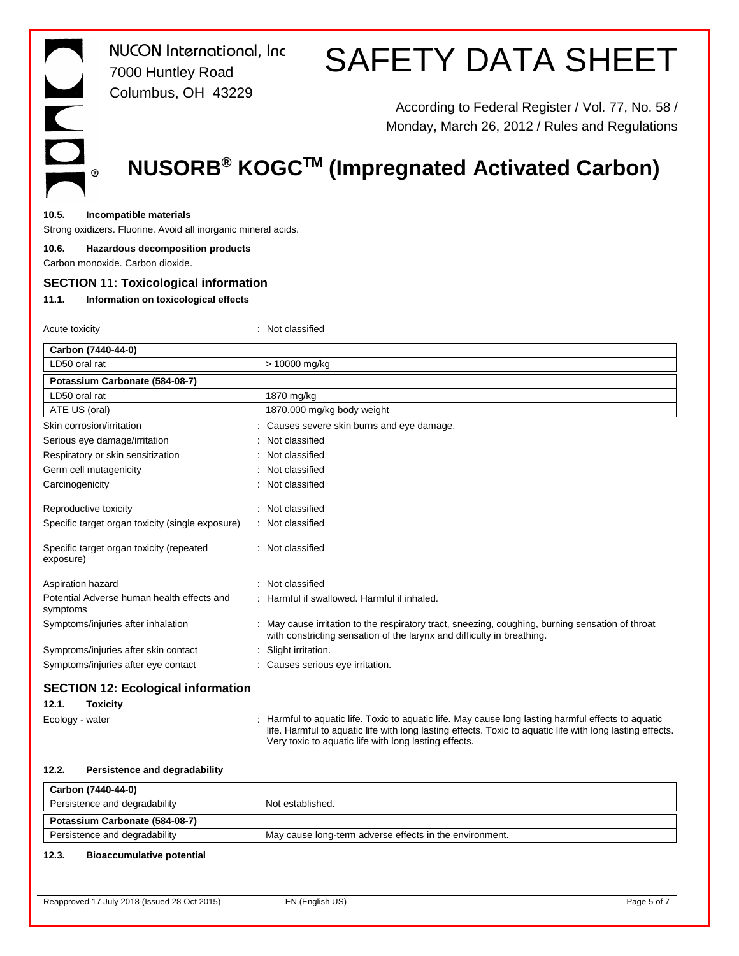# SAFETY DATA SHEET

According to Federal Register / Vol. 77, No. 58 / Monday, March 26, 2012 / Rules and Regulations

# $^{\circ}$

## **NUSORB® KOGCTM (Impregnated Activated Carbon)**

#### **10.5. Incompatible materials**

Strong oxidizers. Fluorine. Avoid all inorganic mineral acids.

#### **10.6. Hazardous decomposition products**

Carbon monoxide. Carbon dioxide.

#### **SECTION 11: Toxicological information**

#### **11.1. Information on toxicological effects**

| Acute toxicity                                         | Not classified                                                                                                                                                                                                                                                          |
|--------------------------------------------------------|-------------------------------------------------------------------------------------------------------------------------------------------------------------------------------------------------------------------------------------------------------------------------|
| Carbon (7440-44-0)                                     |                                                                                                                                                                                                                                                                         |
| LD50 oral rat                                          | > 10000 mg/kg                                                                                                                                                                                                                                                           |
| Potassium Carbonate (584-08-7)                         |                                                                                                                                                                                                                                                                         |
| LD50 oral rat                                          | 1870 mg/kg                                                                                                                                                                                                                                                              |
| ATE US (oral)                                          | 1870.000 mg/kg body weight                                                                                                                                                                                                                                              |
| Skin corrosion/irritation                              | Causes severe skin burns and eye damage.                                                                                                                                                                                                                                |
| Serious eye damage/irritation                          | Not classified                                                                                                                                                                                                                                                          |
| Respiratory or skin sensitization                      | Not classified                                                                                                                                                                                                                                                          |
| Germ cell mutagenicity                                 | Not classified                                                                                                                                                                                                                                                          |
| Carcinogenicity                                        | Not classified                                                                                                                                                                                                                                                          |
| Reproductive toxicity                                  | Not classified                                                                                                                                                                                                                                                          |
| Specific target organ toxicity (single exposure)       | Not classified                                                                                                                                                                                                                                                          |
| Specific target organ toxicity (repeated<br>exposure)  | Not classified                                                                                                                                                                                                                                                          |
| Aspiration hazard                                      | Not classified                                                                                                                                                                                                                                                          |
| Potential Adverse human health effects and<br>symptoms | Harmful if swallowed. Harmful if inhaled.                                                                                                                                                                                                                               |
| Symptoms/injuries after inhalation                     | May cause irritation to the respiratory tract, sneezing, coughing, burning sensation of throat<br>with constricting sensation of the larynx and difficulty in breathing.                                                                                                |
| Symptoms/injuries after skin contact                   | Slight irritation.                                                                                                                                                                                                                                                      |
| Symptoms/injuries after eye contact                    | : Causes serious eye irritation.                                                                                                                                                                                                                                        |
| <b>SECTION 12: Ecological information</b>              |                                                                                                                                                                                                                                                                         |
| 12.1.<br><b>Toxicity</b>                               |                                                                                                                                                                                                                                                                         |
| Ecology - water                                        | Harmful to aquatic life. Toxic to aquatic life. May cause long lasting harmful effects to aquatic<br>life. Harmful to aquatic life with long lasting effects. Toxic to aquatic life with long lasting effects.<br>Very toxic to aquatic life with long lasting effects. |
| 12.2.<br>Persistence and degradability                 |                                                                                                                                                                                                                                                                         |
| Carbon (7440-44-0)                                     |                                                                                                                                                                                                                                                                         |
| Persistence and degradability                          | Not established.                                                                                                                                                                                                                                                        |
| Potassium Carbonate (584-08-7)                         |                                                                                                                                                                                                                                                                         |
| Persistence and degradability                          | May cause long-term adverse effects in the environment.                                                                                                                                                                                                                 |
| 12.3.<br><b>Bioaccumulative potential</b>              |                                                                                                                                                                                                                                                                         |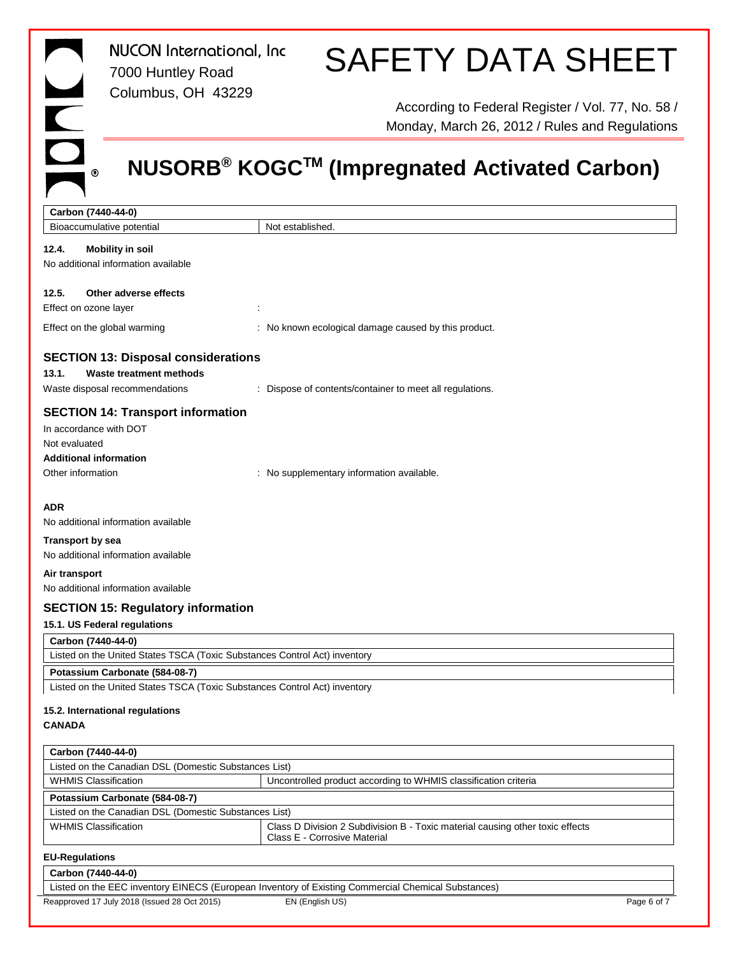ION !  $^{\circ}$ 

*NUCON International, Inc* 7000 Huntley Road Columbus, OH 43229

# SAFETY DATA SHEET

According to Federal Register / Vol. 77, No. 58 / Monday, March 26, 2012 / Rules and Regulations

## **NUSORB® KOGCTM (Impregnated Activated Carbon)**

| Carbon (7440-44-0)                                                                                                                        |                                                                                                               |             |
|-------------------------------------------------------------------------------------------------------------------------------------------|---------------------------------------------------------------------------------------------------------------|-------------|
| Bioaccumulative potential                                                                                                                 | Not established.                                                                                              |             |
| <b>Mobility in soil</b><br>12.4.<br>No additional information available                                                                   |                                                                                                               |             |
| 12.5.<br>Other adverse effects<br>Effect on ozone layer                                                                                   |                                                                                                               |             |
| Effect on the global warming                                                                                                              | : No known ecological damage caused by this product.                                                          |             |
| <b>SECTION 13: Disposal considerations</b><br>Waste treatment methods<br>13.1.                                                            |                                                                                                               |             |
| Waste disposal recommendations                                                                                                            | : Dispose of contents/container to meet all regulations.                                                      |             |
| <b>SECTION 14: Transport information</b><br>In accordance with DOT<br>Not evaluated<br><b>Additional information</b><br>Other information | : No supplementary information available.                                                                     |             |
| <b>ADR</b><br>No additional information available                                                                                         |                                                                                                               |             |
| <b>Transport by sea</b><br>No additional information available                                                                            |                                                                                                               |             |
| Air transport<br>No additional information available                                                                                      |                                                                                                               |             |
| <b>SECTION 15: Regulatory information</b>                                                                                                 |                                                                                                               |             |
| 15.1. US Federal regulations                                                                                                              |                                                                                                               |             |
| Carbon (7440-44-0)                                                                                                                        |                                                                                                               |             |
| Listed on the United States TSCA (Toxic Substances Control Act) inventory                                                                 |                                                                                                               |             |
| Potassium Carbonate (584-08-7)                                                                                                            |                                                                                                               |             |
| Listed on the United States TSCA (Toxic Substances Control Act) inventory                                                                 |                                                                                                               |             |
| 15.2. International regulations<br><b>CANADA</b>                                                                                          |                                                                                                               |             |
| Carbon (7440-44-0)                                                                                                                        |                                                                                                               |             |
| Listed on the Canadian DSL (Domestic Substances List)                                                                                     |                                                                                                               |             |
| <b>WHMIS Classification</b>                                                                                                               | Uncontrolled product according to WHMIS classification criteria                                               |             |
| Potassium Carbonate (584-08-7)<br>Listed on the Canadian DSL (Domestic Substances List)                                                   |                                                                                                               |             |
| <b>WHMIS Classification</b>                                                                                                               | Class D Division 2 Subdivision B - Toxic material causing other toxic effects<br>Class E - Corrosive Material |             |
| <b>EU-Regulations</b>                                                                                                                     |                                                                                                               |             |
| Carbon (7440-44-0)                                                                                                                        |                                                                                                               |             |
|                                                                                                                                           | Listed on the EEC inventory EINECS (European Inventory of Existing Commercial Chemical Substances)            |             |
| Reapproved 17 July 2018 (Issued 28 Oct 2015)                                                                                              | EN (English US)                                                                                               | Page 6 of 7 |